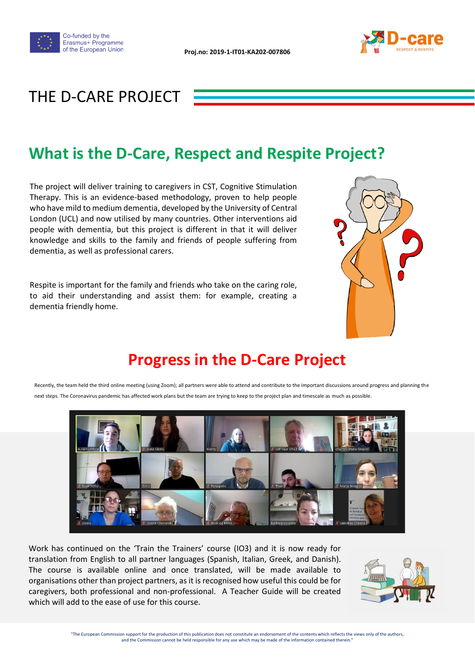



#### THE D-CARE PROJECT

#### **What is the D-Care, Respect and Respite Project?**

The project will deliver training to caregivers in CST, Cognitive Stimulation Therapy. This is an evidence-based methodology, proven to help people who have mild to medium dementia, developed by the University of Central London (UCL) and now utilised by many countries. Other interventions aid people with dementia, but this project is different in that it will deliver knowledge and skills to the family and friends of people suffering from dementia, as well as professional carers.

Respite is important for the family and friends who take on the caring role, to aid their understanding and assist them: for example, creating a dementia friendly home.



### **Progress in the D-Care Project**



Recently, the team held the third online meeting (using Zoom); all partners were able to attend and contribute to the important discussions around progress and planning the next steps. The Coronavirus pandemic has affected work plans but the team are trying to keep to the project plan and timescale as much as possible.

Work has continued on the 'Train the Trainers' course (IO3) and it is now ready for translation from English to all partner languages (Spanish, Italian, Greek, and Danish). The course is available online and once translated, will be made available to organisations other than project partners, as it is recognised how useful this could be for caregivers, both professional and non-professional. A Teacher Guide will be created which will add to the ease of use for this course.

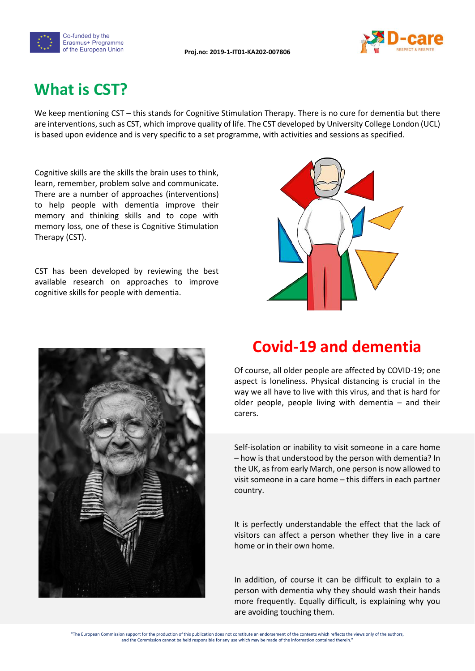



## **What is CST?**

We keep mentioning CST – this stands for Cognitive Stimulation Therapy. There is no cure for dementia but there are interventions, such as CST, which improve quality of life. The CST developed by University College London (UCL) is based upon evidence and is very specific to a set programme, with activities and sessions as specified.

Cognitive skills are the skills the brain uses to think, learn, remember, problem solve and communicate. There are a number of approaches (interventions) to help people with dementia improve their memory and thinking skills and to cope with memory loss, one of these is Cognitive Stimulation Therapy (CST).

CST has been developed by reviewing the best available research on approaches to improve cognitive skills for people with dementia.





#### **Covid-19 and dementia**

Of course, all older people are affected by COVID-19; one aspect is loneliness. Physical distancing is crucial in the way we all have to live with this virus, and that is hard for older people, people living with dementia – and their carers.

Self-isolation or inability to visit someone in a care home – how is that understood by the person with dementia? In the UK, as from early March, one person is now allowed to visit someone in a care home – this differs in each partner country.

It is perfectly understandable the effect that the lack of visitors can affect a person whether they live in a care home or in their own home.

In addition, of course it can be difficult to explain to a person with dementia why they should wash their hands more frequently. Equally difficult, is explaining why you are avoiding touching them.

"The European Commission support for the production of this publication does not constitute an endorsement of the contents which reflects the views only of the authors, and the Commission cannot be held responsible for any use which may be made of the information contained therein.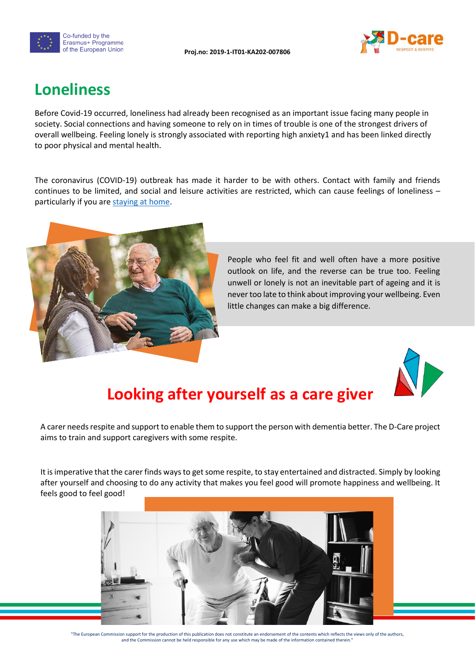



#### **Loneliness**

Before Covid-19 occurred, loneliness had already been recognised as an important issue facing many people in society. Social connections and having someone to rely on in times of trouble is one of the strongest drivers of overall wellbeing. Feeling lonely is strongly associated with reporting high anxiety1 and has been linked directly to poor physical and mental health.

The coronavirus (COVID-19) outbreak has made it harder to be with others. Contact with family and friends continues to be limited, and social and leisure activities are restricted, which can cause feelings of loneliness – particularly if you are [staying at home.](https://www.gov.uk/government/publications/covid-19-stay-at-home-guidance/stay-at-home-guidance-for-households-with-possible-coronavirus-covid-19-infection)



People who feel fit and well often have a more positive outlook on life, and the reverse can be true too. Feeling unwell or lonely is not an inevitable part of ageing and it is never too late to think about improving your wellbeing. Even little changes can make a big difference.



### **Looking after yourself as a care giver**

A carer needs respite and support to enable them to support the person with dementia better. The D-Care project aims to train and support caregivers with some respite.

It is imperative that the carer finds ways to get some respite, to stay entertained and distracted. Simply by looking after yourself and choosing to do any activity that makes you feel good will promote happiness and wellbeing. It feels good to feel good!



"The European Commission support for the production of this publication does not constitute an endorsement of the contents which reflects the views only of the authors, and the Commission cannot be held responsible for any use which may be made of the information contained therein.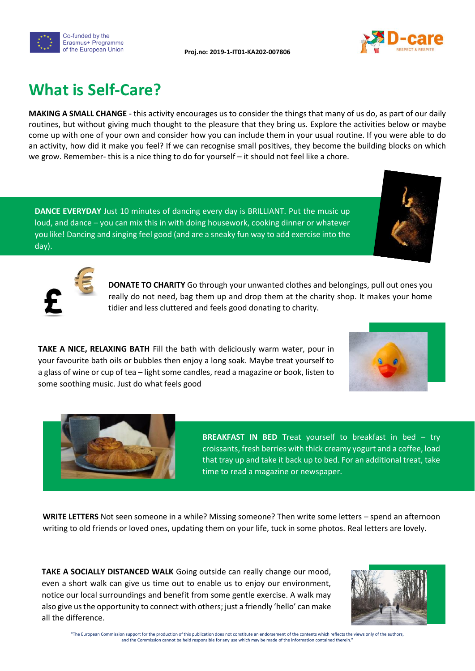



# **What is Self-Care?**

**MAKING A SMALL CHANGE** - this activity encourages us to consider the things that many of us do, as part of our daily routines, but without giving much thought to the pleasure that they bring us. Explore the activities below or maybe come up with one of your own and consider how you can include them in your usual routine. If you were able to do an activity, how did it make you feel? If we can recognise small positives, they become the building blocks on which we grow. Remember- this is a nice thing to do for yourself – it should not feel like a chore.

**DANCE EVERYDAY** Just 10 minutes of dancing every day is BRILLIANT. Put the music up loud, and dance – you can mix this in with doing housework, cooking dinner or whatever you like! Dancing and singing feel good (and are a sneaky fun way to add exercise into the day).



**DONATE TO CHARITY** Go through your unwanted clothes and belongings, pull out ones you really do not need, bag them up and drop them at the charity shop. It makes your home tidier and less cluttered and feels good donating to charity.

**TAKE A NICE, RELAXING BATH** Fill the bath with deliciously warm water, pour in your favourite bath oils or bubbles then enjoy a long soak. Maybe treat yourself to a glass of wine or cup of tea – light some candles, read a magazine or book, listen to some soothing music. Just do what feels good





**BREAKFAST IN BED** Treat yourself to breakfast in bed – try croissants, fresh berries with thick creamy yogurt and a coffee, load that tray up and take it back up to bed. For an additional treat, take time to read a magazine or newspaper.

**WRITE LETTERS** Not seen someone in a while? Missing someone? Then write some letters – spend an afternoon writing to old friends or loved ones, updating them on your life, tuck in some photos. Real letters are lovely.

**TAKE A SOCIALLY DISTANCED WALK** Going outside can really change our mood, even a short walk can give us time out to enable us to enjoy our environment, notice our local surroundings and benefit from some gentle exercise. A walk may also give us the opportunity to connect with others; just a friendly 'hello' can make all the difference.